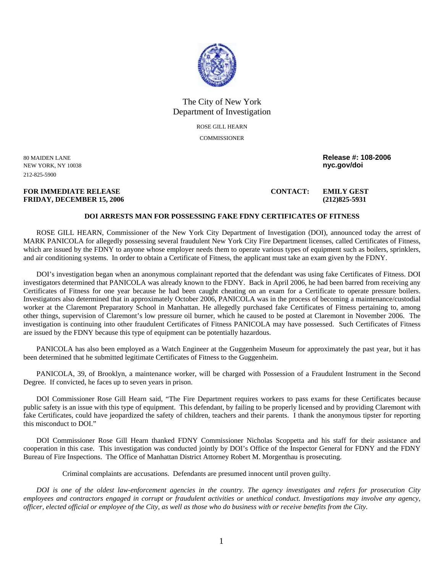

## The City of New York Department of Investigation

ROSE GILL HEARN **COMMISSIONER** 

NEW YORK, NY 10038 **nyc.gov/doi**  212-825-5900

**FOR IMMEDIATE RELEASE CONTACT: EMILY GEST FRIDAY, DECEMBER 15, 2006 (212)825-5931** 

80 MAIDEN LANE **Release #: 108-2006** 

## **DOI ARRESTS MAN FOR POSSESSING FAKE FDNY CERTIFICATES OF FITNESS**

ROSE GILL HEARN, Commissioner of the New York City Department of Investigation (DOI), announced today the arrest of MARK PANICOLA for allegedly possessing several fraudulent New York City Fire Department licenses, called Certificates of Fitness, which are issued by the FDNY to anyone whose employer needs them to operate various types of equipment such as boilers, sprinklers, and air conditioning systems. In order to obtain a Certificate of Fitness, the applicant must take an exam given by the FDNY.

DOI's investigation began when an anonymous complainant reported that the defendant was using fake Certificates of Fitness. DOI investigators determined that PANICOLA was already known to the FDNY. Back in April 2006, he had been barred from receiving any Certificates of Fitness for one year because he had been caught cheating on an exam for a Certificate to operate pressure boilers. Investigators also determined that in approximately October 2006, PANICOLA was in the process of becoming a maintenance/custodial worker at the Claremont Preparatory School in Manhattan. He allegedly purchased fake Certificates of Fitness pertaining to, among other things, supervision of Claremont's low pressure oil burner, which he caused to be posted at Claremont in November 2006. The investigation is continuing into other fraudulent Certificates of Fitness PANICOLA may have possessed. Such Certificates of Fitness are issued by the FDNY because this type of equipment can be potentially hazardous.

PANICOLA has also been employed as a Watch Engineer at the Guggenheim Museum for approximately the past year, but it has been determined that he submitted legitimate Certificates of Fitness to the Guggenheim.

PANICOLA, 39, of Brooklyn, a maintenance worker, will be charged with Possession of a Fraudulent Instrument in the Second Degree. If convicted, he faces up to seven years in prison.

DOI Commissioner Rose Gill Hearn said, "The Fire Department requires workers to pass exams for these Certificates because public safety is an issue with this type of equipment. This defendant, by failing to be properly licensed and by providing Claremont with fake Certificates, could have jeopardized the safety of children, teachers and their parents. I thank the anonymous tipster for reporting this misconduct to DOI."

DOI Commissioner Rose Gill Hearn thanked FDNY Commissioner Nicholas Scoppetta and his staff for their assistance and cooperation in this case. This investigation was conducted jointly by DOI's Office of the Inspector General for FDNY and the FDNY Bureau of Fire Inspections. The Office of Manhattan District Attorney Robert M. Morgenthau is prosecuting.

Criminal complaints are accusations. Defendants are presumed innocent until proven guilty.

*DOI is one of the oldest law-enforcement agencies in the country. The agency investigates and refers for prosecution City employees and contractors engaged in corrupt or fraudulent activities or unethical conduct. Investigations may involve any agency, officer, elected official or employee of the City, as well as those who do business with or receive benefits from the City.*